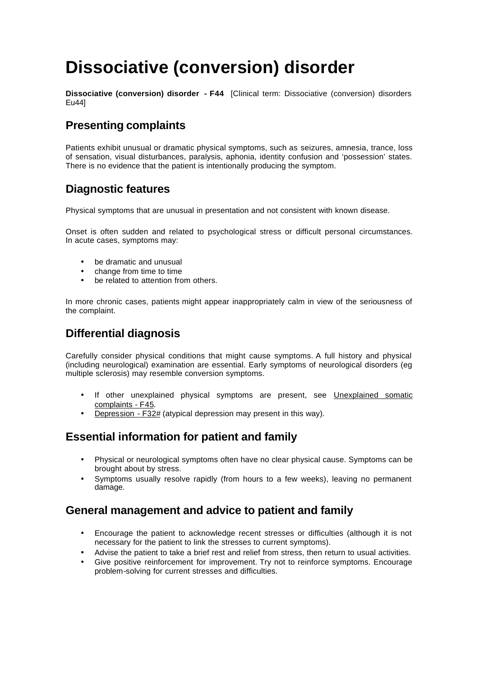# **Dissociative (conversion) disorder**

**Dissociative (conversion) disorder - F44** [Clinical term: Dissociative (conversion) disorders Eu44]

# **Presenting complaints**

Patients exhibit unusual or dramatic physical symptoms, such as seizures, amnesia, trance, loss of sensation, visual disturbances, paralysis, aphonia, identity confusion and 'possession' states. There is no evidence that the patient is intentionally producing the symptom.

# **Diagnostic features**

Physical symptoms that are unusual in presentation and not consistent with known disease.

Onset is often sudden and related to psychological stress or difficult personal circumstances. In acute cases, symptoms may:

- be dramatic and unusual
- change from time to time
- be related to attention from others.

In more chronic cases, patients might appear inappropriately calm in view of the seriousness of the complaint.

### **Differential diagnosis**

Carefully consider physical conditions that might cause symptoms. A full history and physical (including neurological) examination are essential. Early symptoms of neurological disorders (eg multiple sclerosis) may resemble conversion symptoms.

- If other unexplained physical symptoms are present, see Unexplained somatic complaints - F45.
- Depression F32# (atypical depression may present in this way).

# **Essential information for patient and family**

- Physical or neurological symptoms often have no clear physical cause. Symptoms can be brought about by stress.
- Symptoms usually resolve rapidly (from hours to a few weeks), leaving no permanent damage.

# **General management and advice to patient and family**

- Encourage the patient to acknowledge recent stresses or difficulties (although it is not necessary for the patient to link the stresses to current symptoms).
- Advise the patient to take a brief rest and relief from stress, then return to usual activities.
- Give positive reinforcement for improvement. Try not to reinforce symptoms. Encourage problem-solving for current stresses and difficulties.